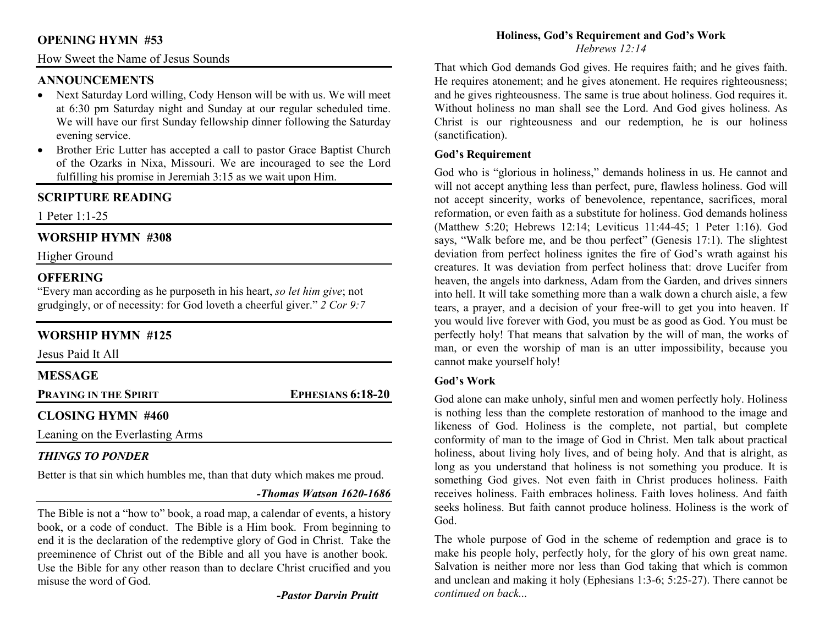## **OPENING HYMN #53**

## How Sweet the Name of Jesus Sounds

## **ANNOUNCEMENTS**

- Next Saturday Lord willing, Cody Henson will be with us. We will meet at 6:30 pm Saturday night and Sunday at our regular scheduled time. We will have our first Sunday fellowship dinner following the Saturday evening service.
- Brother Eric Lutter has accepted a call to pastor Grace Baptist Church of the Ozarks in Nixa, Missouri. We are incouraged to see the Lord fulfilling his promise in Jeremiah 3:15 as we wait upon Him.

# **SCRIPTURE READING**

1 Peter 1:1-25

## **WORSHIP HYMN #308**

Higher Ground

## **OFFERING**

 "Every man according as he purposeth in his heart, *so let him give*; not grudgingly, or of necessity: for God loveth a cheerful giver." *2 Cor 9:7*

## **WORSHIP HYMN #125**

| Jesus Paid It All               |                          |
|---------------------------------|--------------------------|
| <b>MESSAGE</b>                  |                          |
| PRAYING IN THE SPIRIT           | <b>EPHESIANS 6:18-20</b> |
| <b>CLOSING HYMN #460</b>        |                          |
| Leaning on the Everlasting Arms |                          |

## *THINGS TO PONDER*

Better is that sin which humbles me, than that duty which makes me proud.

## *-Thomas Watson 1620-1686*

The Bible is not a "how to" book, a road map, a calendar of events, a history book, or a code of conduct. The Bible is a Him book. From beginning to end it is the declaration of the redemptive glory of God in Christ. Take the preeminence of Christ out of the Bible and all you have is another book. Use the Bible for any other reason than to declare Christ crucified and you misuse the word of God.

*-Pastor Darvin Pruitt*

#### **Holiness, God's Requirement and God's Work** *Hebrews 12:14*

That which God demands God gives. He requires faith; and he gives faith. He requires atonement; and he gives atonement. He requires righteousness; and he gives righteousness. The same is true about holiness. God requires it. Without holiness no man shall see the Lord. And God gives holiness. As Christ is our righteousness and our redemption, he is our holiness (sanctification).

### **God's Requirement**

God who is "glorious in holiness," demands holiness in us. He cannot and will not accept anything less than perfect, pure, flawless holiness. God will not accept sincerity, works of benevolence, repentance, sacrifices, moral reformation, or even faith as a substitute for holiness. God demands holiness (Matthew 5:20; Hebrews 12:14; Leviticus 11:44-45; 1 Peter 1:16). God says, "Walk before me, and be thou perfect" (Genesis 17:1). The slightest deviation from perfect holiness ignites the fire of God's wrath against his creatures. It was deviation from perfect holiness that: drove Lucifer from heaven, the angels into darkness, Adam from the Garden, and drives sinners into hell. It will take something more than a walk down a church aisle, a few tears, a prayer, and a decision of your free-will to get you into heaven. If you would live forever with God, you must be as good as God. You must be perfectly holy! That means that salvation by the will of man, the works of man, or even the worship of man is an utter impossibility, because you cannot make yourself holy!

## **God's Work**

God alone can make unholy, sinful men and women perfectly holy. Holiness is nothing less than the complete restoration of manhood to the image and likeness of God. Holiness is the complete, not partial, but complete conformity of man to the image of God in Christ. Men talk about practical holiness, about living holy lives, and of being holy. And that is alright, as long as you understand that holiness is not something you produce. It is something God gives. Not even faith in Christ produces holiness. Faith receives holiness. Faith embraces holiness. Faith loves holiness. And faith seeks holiness. But faith cannot produce holiness. Holiness is the work of God.

The whole purpose of God in the scheme of redemption and grace is to make his people holy, perfectly holy, for the glory of his own great name. Salvation is neither more nor less than God taking that which is common and unclean and making it holy (Ephesians 1:3-6; 5:25-27). There cannot be *continued on back...*